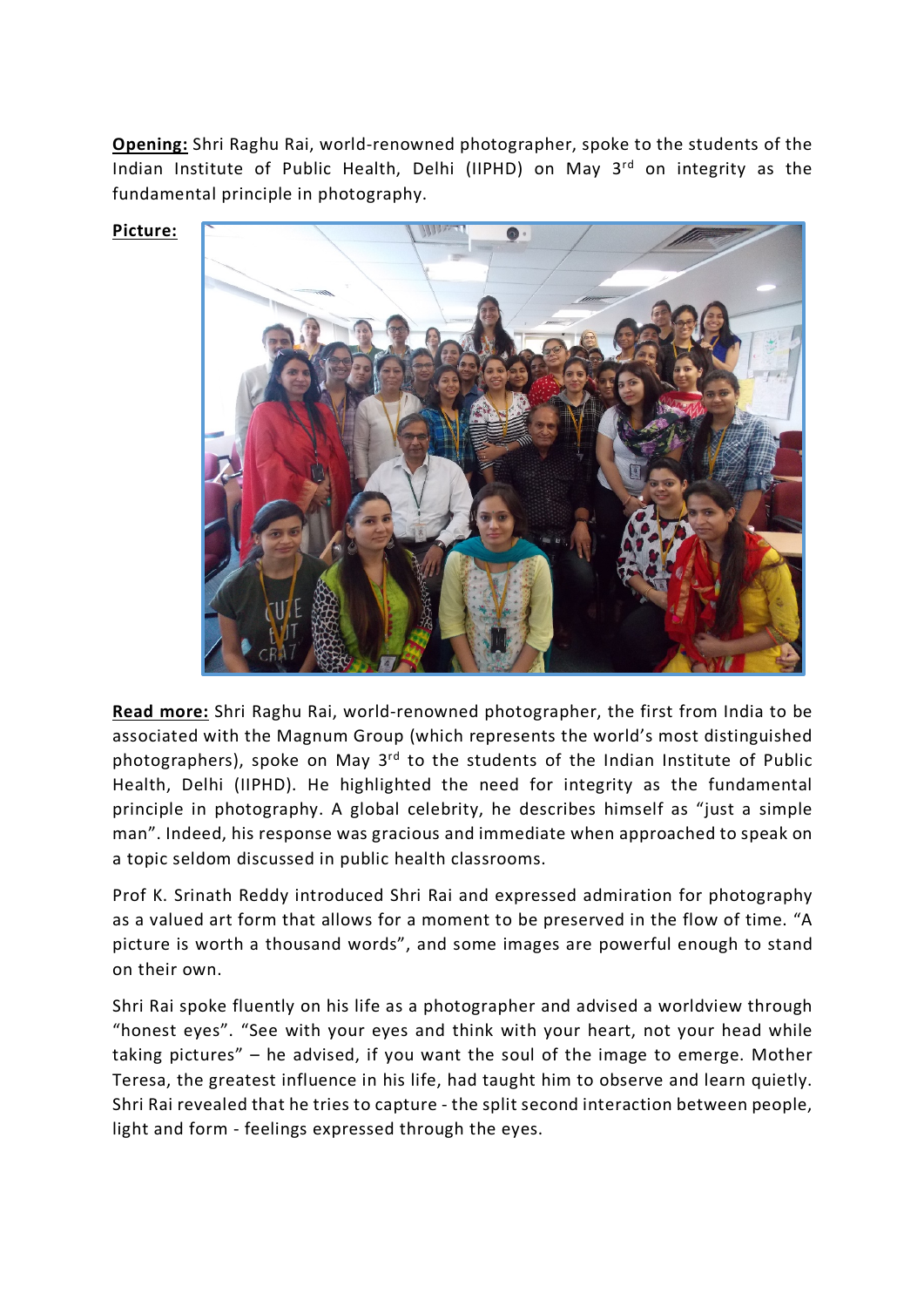**Opening:** Shri Raghu Rai, world-renowned photographer, spoke to the students of the Indian Institute of Public Health, Delhi (IIPHD) on May 3<sup>rd</sup> on integrity as the fundamental principle in photography.

**Picture:**



**Read more:** Shri Raghu Rai, world-renowned photographer, the first from India to be associated with the Magnum Group (which represents the world's most distinguished photographers), spoke on May  $3<sup>rd</sup>$  to the students of the Indian Institute of Public Health, Delhi (IIPHD). He highlighted the need for integrity as the fundamental principle in photography. A global celebrity, he describes himself as "just a simple man". Indeed, his response was gracious and immediate when approached to speak on a topic seldom discussed in public health classrooms.

Prof K. Srinath Reddy introduced Shri Rai and expressed admiration for photography as a valued art form that allows for a moment to be preserved in the flow of time. "A picture is worth a thousand words", and some images are powerful enough to stand on their own.

Shri Rai spoke fluently on his life as a photographer and advised a worldview through "honest eyes". "See with your eyes and think with your heart, not your head while taking pictures" – he advised, if you want the soul of the image to emerge. Mother Teresa, the greatest influence in his life, had taught him to observe and learn quietly. Shri Rai revealed that he tries to capture - the split second interaction between people, light and form - feelings expressed through the eyes.